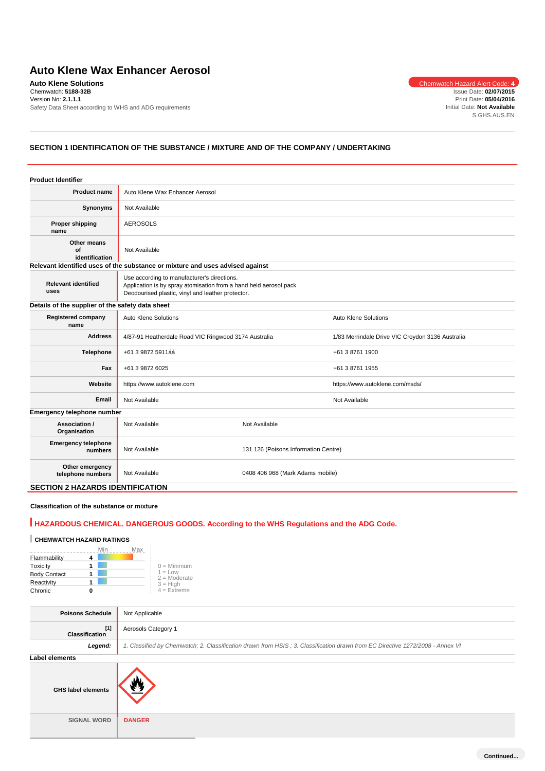# **Auto Klene Wax Enhancer Aerosol**

**Auto Klene Solutions** Chemwatch Hazard Alert Code: 4 Chemwatch: **5188-32B** Version No: **2.1.1.1** Safety Data Sheet according to WHS and ADG requirements

Issue Date: **02/07/2015** Print Date: **05/04/2016** Initial Date: **Not Available** S.GHS.AUS.EN

# **SECTION 1 IDENTIFICATION OF THE SUBSTANCE / MIXTURE AND OF THE COMPANY / UNDERTAKING**

| <b>Product Identifier</b>                        |                                                                                                                                                                       |                                      |                                                  |  |
|--------------------------------------------------|-----------------------------------------------------------------------------------------------------------------------------------------------------------------------|--------------------------------------|--------------------------------------------------|--|
| <b>Product name</b>                              | Auto Klene Wax Enhancer Aerosol                                                                                                                                       |                                      |                                                  |  |
| Synonyms                                         | Not Available                                                                                                                                                         |                                      |                                                  |  |
| Proper shipping<br>name                          | <b>AEROSOLS</b>                                                                                                                                                       |                                      |                                                  |  |
| Other means<br>Ωf<br>identification              | Not Available                                                                                                                                                         |                                      |                                                  |  |
|                                                  | Relevant identified uses of the substance or mixture and uses advised against                                                                                         |                                      |                                                  |  |
| <b>Relevant identified</b><br>uses               | Use according to manufacturer's directions.<br>Application is by spray atomisation from a hand held aerosol pack<br>Deodourised plastic, vinyl and leather protector. |                                      |                                                  |  |
| Details of the supplier of the safety data sheet |                                                                                                                                                                       |                                      |                                                  |  |
| <b>Registered company</b><br>name                | Auto Klene Solutions                                                                                                                                                  |                                      | <b>Auto Klene Solutions</b>                      |  |
| <b>Address</b>                                   | 4/87-91 Heatherdale Road VIC Ringwood 3174 Australia                                                                                                                  |                                      | 1/83 Merrindale Drive VIC Croydon 3136 Australia |  |
| <b>Telephone</b>                                 | +61 3 9872 5911áá                                                                                                                                                     |                                      | +61 3 8761 1900                                  |  |
| Fax                                              | +61 3 9872 6025                                                                                                                                                       |                                      | +61 3 8761 1955                                  |  |
| Website                                          | https://www.autoklene.com                                                                                                                                             |                                      | https://www.autoklene.com/msds/                  |  |
| Email                                            | Not Available                                                                                                                                                         |                                      | Not Available                                    |  |
| Emergency telephone number                       |                                                                                                                                                                       |                                      |                                                  |  |
| Association /<br>Organisation                    | Not Available                                                                                                                                                         | Not Available                        |                                                  |  |
| <b>Emergency telephone</b><br>numbers            | Not Available                                                                                                                                                         | 131 126 (Poisons Information Centre) |                                                  |  |
| Other emergency<br>telephone numbers             | Not Available                                                                                                                                                         | 0408 406 968 (Mark Adams mobile)     |                                                  |  |
| <b>SECTION 2 HAZARDS IDENTIFICATION</b>          |                                                                                                                                                                       |                                      |                                                  |  |

## **Classification of the substance or mixture**

# **HAZARDOUS CHEMICAL. DANGEROUS GOODS. According to the WHS Regulations and the ADG Code.**

# **CHEMWATCH HAZARD RATINGS**

|                     | Min | Max                         |
|---------------------|-----|-----------------------------|
| Flammability        |     |                             |
| Toxicity            |     | $0 =$ Minimum               |
| <b>Body Contact</b> |     | $1 = Low$<br>$2 =$ Moderate |
| Reactivity          |     | $3 = High$                  |
| Chronic             |     | $4 = Ex$ freme              |

| <b>Poisons Schedule</b>        | Not Applicable                                                                                                                |
|--------------------------------|-------------------------------------------------------------------------------------------------------------------------------|
| $[1]$<br><b>Classification</b> | Aerosols Category 1                                                                                                           |
| Legend:                        | 1. Classified by Chemwatch; 2. Classification drawn from HSIS; 3. Classification drawn from EC Directive 1272/2008 - Annex VI |
| Label elements                 |                                                                                                                               |
| <b>GHS label elements</b>      |                                                                                                                               |
| <b>SIGNAL WORD</b>             | <b>DANGER</b>                                                                                                                 |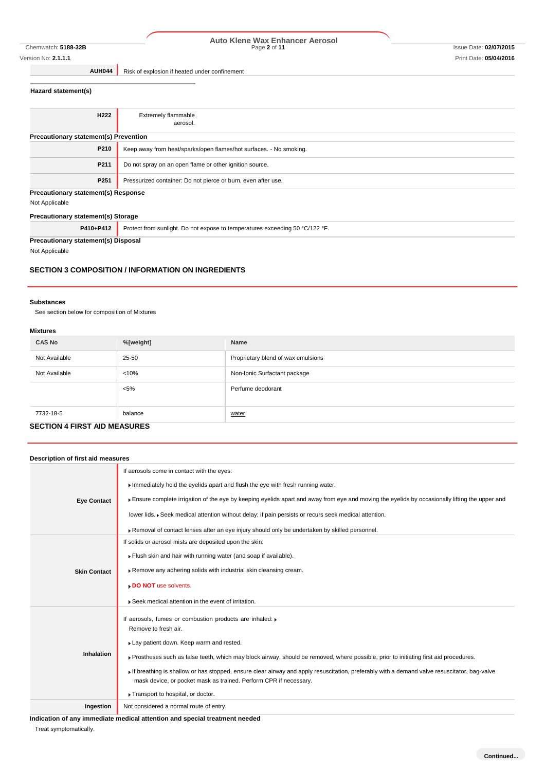# Chemwatch: **5188-32B** Page **2** of **11** Issue Date: **02/07/2015 Auto Klene Wax Enhancer Aerosol**

**AUH044** Risk of explosion if heated under confinement

## **Hazard statement(s)**

| H <sub>222</sub>                             | Extremely flammable                                                          |  |
|----------------------------------------------|------------------------------------------------------------------------------|--|
|                                              |                                                                              |  |
|                                              | aerosol.                                                                     |  |
| <b>Precautionary statement(s) Prevention</b> |                                                                              |  |
| P210                                         | Keep away from heat/sparks/open flames/hot surfaces. - No smoking.           |  |
|                                              |                                                                              |  |
| P211                                         | Do not spray on an open flame or other ignition source.                      |  |
|                                              |                                                                              |  |
| P <sub>251</sub>                             | Pressurized container: Do not pierce or burn, even after use.                |  |
|                                              |                                                                              |  |
| Precautionary statement(s) Response          |                                                                              |  |
| Not Applicable                               |                                                                              |  |
| Precautionary statement(s) Storage           |                                                                              |  |
| P410+P412                                    | Protect from sunlight. Do not expose to temperatures exceeding 50 °C/122 °F. |  |

**Precautionary statement(s) Disposal**

Not Applicable

## **SECTION 3 COMPOSITION / INFORMATION ON INGREDIENTS**

### **Substances**

See section below for composition of Mixtures

### **Mixtures**

| <b>CAS No</b>                | %[weight] | Name                               |
|------------------------------|-----------|------------------------------------|
| Not Available                | 25-50     | Proprietary blend of wax emulsions |
| Not Available                | < 10%     | Non-Ionic Surfactant package       |
|                              | $< 5\%$   | Perfume deodorant                  |
|                              |           |                                    |
| 7732-18-5                    | balance   | water                              |
| OFOTION 4 FIDOT AID MEAQUREQ |           |                                    |

# **SECTION 4 FIRST AID MEASURES**

| Description of first aid measures |                                                                                                                                                                                                                                                                                                                                                                                                                                                                                                                            |
|-----------------------------------|----------------------------------------------------------------------------------------------------------------------------------------------------------------------------------------------------------------------------------------------------------------------------------------------------------------------------------------------------------------------------------------------------------------------------------------------------------------------------------------------------------------------------|
| <b>Eye Contact</b>                | If aerosols come in contact with the eyes:<br>Immediately hold the eyelids apart and flush the eye with fresh running water.<br>Ensure complete irrigation of the eye by keeping eyelids apart and away from eye and moving the eyelids by occasionally lifting the upper and                                                                                                                                                                                                                                              |
|                                   | lower lids. ▶ Seek medical attention without delay; if pain persists or recurs seek medical attention.<br>Removal of contact lenses after an eye injury should only be undertaken by skilled personnel.                                                                                                                                                                                                                                                                                                                    |
| <b>Skin Contact</b>               | If solids or aerosol mists are deposited upon the skin:<br>Flush skin and hair with running water (and soap if available).<br>Remove any adhering solids with industrial skin cleansing cream.<br>DO NOT use solvents.<br>Seek medical attention in the event of irritation.                                                                                                                                                                                                                                               |
| <b>Inhalation</b>                 | If aerosols, fumes or combustion products are inhaled:<br>Remove to fresh air.<br>Lay patient down. Keep warm and rested.<br>Prostheses such as false teeth, which may block airway, should be removed, where possible, prior to initiating first aid procedures.<br>If breathing is shallow or has stopped, ensure clear airway and apply resuscitation, preferably with a demand valve resuscitator, bag-valve<br>mask device, or pocket mask as trained. Perform CPR if necessary.<br>Transport to hospital, or doctor. |
| Ingestion                         | Not considered a normal route of entry.                                                                                                                                                                                                                                                                                                                                                                                                                                                                                    |

**Indication of any immediate medical attention and special treatment needed**

Treat symptomatically.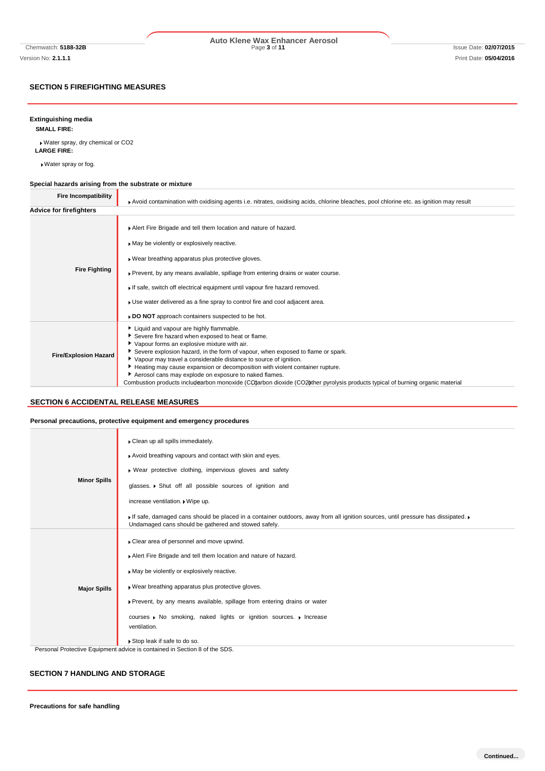# Chemwatch: **5188-32B** Page **3** of **11** Issue Date: **02/07/2015 Auto Klene Wax Enhancer Aerosol**

## **SECTION 5 FIREFIGHTING MEASURES**

## **Extinguishing media**

**SMALL FIRE:**

Water spray, dry chemical or CO2 **LARGE FIRE:**

Water spray or fog.

### **Special hazards arising from the substrate or mixture** ٦

| <b>Fire Incompatibility</b>    | Avoid contamination with oxidising agents i.e. nitrates, oxidising acids, chlorine bleaches, pool chlorine etc. as ignition may result                                                                                                                                                                                                                                                                                                                                                                                                                                         |
|--------------------------------|--------------------------------------------------------------------------------------------------------------------------------------------------------------------------------------------------------------------------------------------------------------------------------------------------------------------------------------------------------------------------------------------------------------------------------------------------------------------------------------------------------------------------------------------------------------------------------|
| <b>Advice for firefighters</b> |                                                                                                                                                                                                                                                                                                                                                                                                                                                                                                                                                                                |
| <b>Fire Fighting</b>           | Alert Fire Brigade and tell them location and nature of hazard.<br>May be violently or explosively reactive.<br>▶ Wear breathing apparatus plus protective gloves.<br>▶ Prevent, by any means available, spillage from entering drains or water course.<br>If safe, switch off electrical equipment until vapour fire hazard removed.<br>► Use water delivered as a fine spray to control fire and cool adjacent area.<br>► DO NOT approach containers suspected to be hot.                                                                                                    |
| <b>Fire/Explosion Hazard</b>   | Liquid and vapour are highly flammable.<br>Severe fire hazard when exposed to heat or flame.<br>Vapour forms an explosive mixture with air.<br>Severe explosion hazard, in the form of vapour, when exposed to flame or spark.<br>▶ Vapour may travel a considerable distance to source of ignition.<br>Heating may cause expansion or decomposition with violent container rupture.<br>Aerosol cans may explode on exposure to naked flames.<br>Combustion products includearbon monoxide (CO)arbon dioxide (CO2) ther pyrolysis products typical of burning organic material |

## **SECTION 6 ACCIDENTAL RELEASE MEASURES**

## **Personal precautions, protective equipment and emergency procedures**

| <b>Minor Spills</b> | Clean up all spills immediately.<br>Avoid breathing vapours and contact with skin and eyes.<br>• Wear protective clothing, impervious gloves and safety<br>glasses. • Shut off all possible sources of ignition and<br>increase ventilation. Wipe up.<br>If safe, damaged cans should be placed in a container outdoors, away from all ignition sources, until pressure has dissipated.<br>Undamaged cans should be gathered and stowed safely. |
|---------------------|-------------------------------------------------------------------------------------------------------------------------------------------------------------------------------------------------------------------------------------------------------------------------------------------------------------------------------------------------------------------------------------------------------------------------------------------------|
| <b>Major Spills</b> | Clear area of personnel and move upwind.<br>Alert Fire Brigade and tell them location and nature of hazard.<br>May be violently or explosively reactive.<br>. Wear breathing apparatus plus protective gloves.<br>Prevent, by any means available, spillage from entering drains or water<br>courses Mo smoking, naked lights or ignition sources. Morease<br>ventilation.<br>Stop leak if safe to do so.                                       |
|                     | Personal Protective Equipment advice is contained in Section 8 of the SDS.                                                                                                                                                                                                                                                                                                                                                                      |

## **SECTION 7 HANDLING AND STORAGE**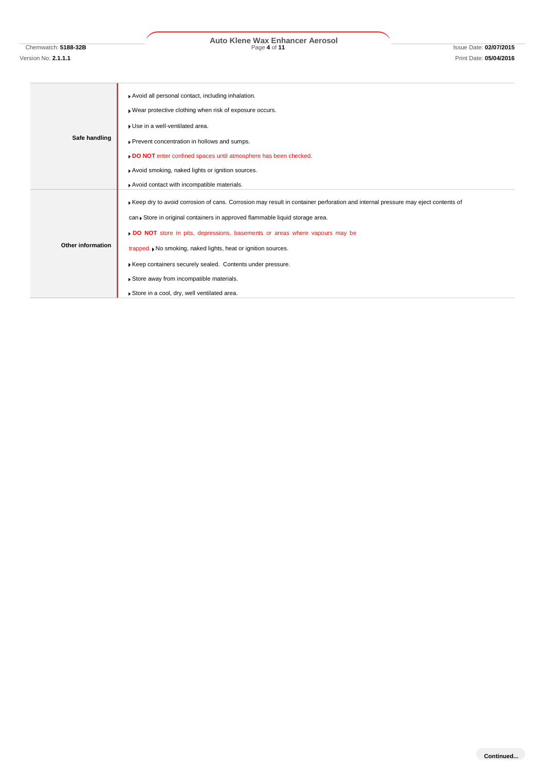# Chemwatch: **5188-32B** Page **4** of **11** Issue Date: **02/07/2015 Auto Klene Wax Enhancer Aerosol**

# **Safe handling** Avoid all personal contact, including inhalation. Wear protective clothing when risk of exposure occurs. Use in a well-ventilated area. Prevent concentration in hollows and sumps. **DO NOT** enter confined spaces until atmosphere has been checked. Avoid smoking, naked lights or ignition sources. Avoid contact with incompatible materials. **Other information** Keep dry to avoid corrosion of cans. Corrosion may result in container perforation and internal pressure may eject contents of can Store in original containers in approved flammable liquid storage area. **DO NOT** store in pits, depressions, basements or areas where vapours may be trapped.  $\blacktriangleright$  No smoking, naked lights, heat or ignition sources. Keep containers securely sealed. Contents under pressure. Store away from incompatible materials. Store in a cool, dry, well ventilated area.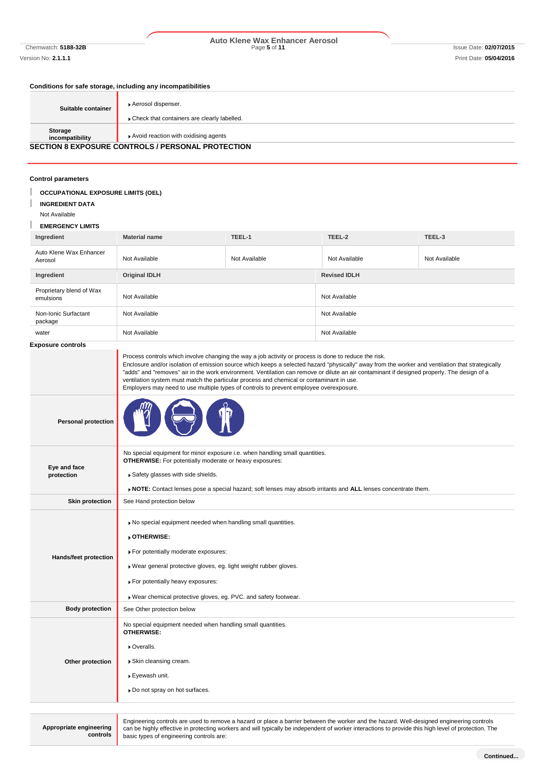# Chemwatch: **5188-32B** Page **5** of **11** Issue Date: **02/07/2015 Auto Klene Wax Enhancer Aerosol**

## **Conditions for safe storage, including any incompatibilities**

| Suitable container         | Aerosol dispenser.<br>Check that containers are clearly labelled.                                |
|----------------------------|--------------------------------------------------------------------------------------------------|
| Storage<br>incompatibility | Avoid reaction with oxidising agents<br><b>SECTION 8 EXPOSURE CONTROLS / PERSONAL PROTECTION</b> |
|                            |                                                                                                  |

## **Control parameters**

| Control parameters                        |                                                                                                                                                                                                                                                                                                                                                                                                                                                                                                                                                                                                |               |                     |               |  |
|-------------------------------------------|------------------------------------------------------------------------------------------------------------------------------------------------------------------------------------------------------------------------------------------------------------------------------------------------------------------------------------------------------------------------------------------------------------------------------------------------------------------------------------------------------------------------------------------------------------------------------------------------|---------------|---------------------|---------------|--|
| <b>OCCUPATIONAL EXPOSURE LIMITS (OEL)</b> |                                                                                                                                                                                                                                                                                                                                                                                                                                                                                                                                                                                                |               |                     |               |  |
| <b>INGREDIENT DATA</b>                    |                                                                                                                                                                                                                                                                                                                                                                                                                                                                                                                                                                                                |               |                     |               |  |
| Not Available                             |                                                                                                                                                                                                                                                                                                                                                                                                                                                                                                                                                                                                |               |                     |               |  |
| <b>EMERGENCY LIMITS</b>                   |                                                                                                                                                                                                                                                                                                                                                                                                                                                                                                                                                                                                |               |                     |               |  |
| Ingredient                                | <b>Material name</b>                                                                                                                                                                                                                                                                                                                                                                                                                                                                                                                                                                           | TEEL-1        | TEEL-2              | TEEL-3        |  |
| Auto Klene Wax Enhancer<br>Aerosol        | Not Available                                                                                                                                                                                                                                                                                                                                                                                                                                                                                                                                                                                  | Not Available | Not Available       | Not Available |  |
| Ingredient                                | <b>Original IDLH</b>                                                                                                                                                                                                                                                                                                                                                                                                                                                                                                                                                                           |               | <b>Revised IDLH</b> |               |  |
| Proprietary blend of Wax<br>emulsions     | Not Available                                                                                                                                                                                                                                                                                                                                                                                                                                                                                                                                                                                  |               | Not Available       |               |  |
| Non-Ionic Surfactant<br>package           | Not Available                                                                                                                                                                                                                                                                                                                                                                                                                                                                                                                                                                                  |               | Not Available       |               |  |
| water                                     | Not Available                                                                                                                                                                                                                                                                                                                                                                                                                                                                                                                                                                                  |               | Not Available       |               |  |
| <b>Exposure controls</b>                  |                                                                                                                                                                                                                                                                                                                                                                                                                                                                                                                                                                                                |               |                     |               |  |
|                                           | Process controls which involve changing the way a job activity or process is done to reduce the risk.<br>Enclosure and/or isolation of emission source which keeps a selected hazard "physically" away from the worker and ventilation that strategically<br>"adds" and "removes" air in the work environment. Ventilation can remove or dilute an air contaminant if designed properly. The design of a<br>ventilation system must match the particular process and chemical or contaminant in use.<br>Employers may need to use multiple types of controls to prevent employee overexposure. |               |                     |               |  |
| <b>Personal protection</b>                |                                                                                                                                                                                                                                                                                                                                                                                                                                                                                                                                                                                                |               |                     |               |  |
|                                           | No special equipment for minor exposure i.e. when handling small quantities.<br><b>OTHERWISE:</b> For potentially moderate or heavy exposures:<br>Safety glasses with side shields.<br>▶ NOTE: Contact lenses pose a special hazard; soft lenses may absorb irritants and ALL lenses concentrate them.                                                                                                                                                                                                                                                                                         |               |                     |               |  |
| Eye and face<br>protection                |                                                                                                                                                                                                                                                                                                                                                                                                                                                                                                                                                                                                |               |                     |               |  |
|                                           |                                                                                                                                                                                                                                                                                                                                                                                                                                                                                                                                                                                                |               |                     |               |  |
| <b>Skin protection</b>                    | See Hand protection below                                                                                                                                                                                                                                                                                                                                                                                                                                                                                                                                                                      |               |                     |               |  |
|                                           | No special equipment needed when handling small quantities.                                                                                                                                                                                                                                                                                                                                                                                                                                                                                                                                    |               |                     |               |  |
|                                           |                                                                                                                                                                                                                                                                                                                                                                                                                                                                                                                                                                                                |               |                     |               |  |
|                                           | ▶ OTHERWISE:                                                                                                                                                                                                                                                                                                                                                                                                                                                                                                                                                                                   |               |                     |               |  |
| Hands/feet protection                     | For potentially moderate exposures:                                                                                                                                                                                                                                                                                                                                                                                                                                                                                                                                                            |               |                     |               |  |
|                                           | Wear general protective gloves, eg. light weight rubber gloves.                                                                                                                                                                                                                                                                                                                                                                                                                                                                                                                                |               |                     |               |  |
|                                           | For potentially heavy exposures:                                                                                                                                                                                                                                                                                                                                                                                                                                                                                                                                                               |               |                     |               |  |
|                                           | Wear chemical protective gloves, eg. PVC. and safety footwear.                                                                                                                                                                                                                                                                                                                                                                                                                                                                                                                                 |               |                     |               |  |
| <b>Body protection</b>                    | See Other protection below                                                                                                                                                                                                                                                                                                                                                                                                                                                                                                                                                                     |               |                     |               |  |
|                                           | No special equipment needed when handling small quantities.<br><b>OTHERWISE:</b>                                                                                                                                                                                                                                                                                                                                                                                                                                                                                                               |               |                     |               |  |
|                                           | • Overalls.                                                                                                                                                                                                                                                                                                                                                                                                                                                                                                                                                                                    |               |                     |               |  |
| Other protection                          | ▶ Skin cleansing cream.                                                                                                                                                                                                                                                                                                                                                                                                                                                                                                                                                                        |               |                     |               |  |
|                                           | ▶ Eyewash unit.                                                                                                                                                                                                                                                                                                                                                                                                                                                                                                                                                                                |               |                     |               |  |
|                                           | » Do not spray on hot surfaces.                                                                                                                                                                                                                                                                                                                                                                                                                                                                                                                                                                |               |                     |               |  |
|                                           |                                                                                                                                                                                                                                                                                                                                                                                                                                                                                                                                                                                                |               |                     |               |  |
| Appropriate engineering<br>controls       | Engineering controls are used to remove a hazard or place a barrier between the worker and the hazard. Well-designed engineering controls<br>can be highly effective in protecting workers and will typically be independent of worker interactions to provide this high level of protection. The<br>basic types of engineering controls are:                                                                                                                                                                                                                                                  |               |                     |               |  |

basic types of engineering controls are:

**Continued...**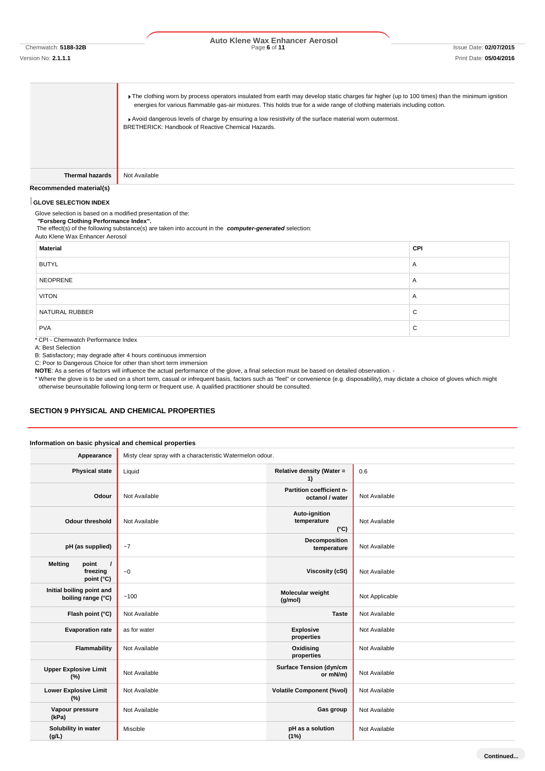# Chemwatch: **5188-32B** Page **6** of **11** Issue Date: **02/07/2015 Auto Klene Wax Enhancer Aerosol**

Fine clothing worn by process operators insulated from earth may develop static charges far higher (up to 100 times) than the minimum ignition energies for various flammable gas-air mixtures. This holds true for a wide range of clothing materials including cotton.

Avoid dangerous levels of charge by ensuring a low resistivity of the surface material worn outermost. BRETHERICK: Handbook of Reactive Chemical Hazards.

**Thermal hazards** Not Available

### **Recommended material(s)**

### **GLOVE SELECTION INDEX**

Glove selection is based on a modified presentation of the:

*"***Forsberg Clothing Performance Index".**

The effect(s) of the following substance(s) are taken into account in the *computer-generated* selection: Auto Klene Wax Enhancer Aerosol

| Material                                                 | CPI |
|----------------------------------------------------------|-----|
| <b>BUTYL</b>                                             | A   |
| NEOPRENE                                                 | A   |
| <b>VITON</b>                                             | A   |
| NATURAL RUBBER                                           | C   |
| <b>PVA</b><br>$\star$ ODI OLD   In Decker and the latter | C   |

\* CPI - Chemwatch Performance Index

A: Best Selection

B: Satisfactory; may degrade after 4 hours continuous immersion

C: Poor to Dangerous Choice for other than short term immersion

**NOTE**: As a series of factors will influence the actual performance of the glove, a final selection must be based on detailed observation. -

\* Where the glove is to be used on a short term, casual or infrequent basis, factors such as "feel" or convenience (e.g. disposability), may dictate a choice of gloves which might otherwise beunsuitable following long-term or frequent use. A qualified practitioner should be consulted.

## **SECTION 9 PHYSICAL AND CHEMICAL PROPERTIES**

### **Information on basic physical and chemical properties**

| Appearance                                                    | Misty clear spray with a characteristic Watermelon odour. |                                               |                |
|---------------------------------------------------------------|-----------------------------------------------------------|-----------------------------------------------|----------------|
| <b>Physical state</b>                                         | Liquid                                                    | <b>Relative density (Water =</b><br>1)        | 0.6            |
| Odour                                                         | Not Available                                             | Partition coefficient n-<br>octanol / water   | Not Available  |
| <b>Odour threshold</b>                                        | Not Available                                             | Auto-ignition<br>temperature<br>$(^{\circ}C)$ | Not Available  |
| pH (as supplied)                                              | $-7$                                                      | Decomposition<br>temperature                  | Not Available  |
| <b>Melting</b><br>point<br>$\prime$<br>freezing<br>point (°C) | $\sim 0$                                                  | <b>Viscosity (cSt)</b>                        | Not Available  |
| Initial boiling point and<br>boiling range (°C)               | ~100                                                      | Molecular weight<br>(g/mol)                   | Not Applicable |
| Flash point (°C)                                              | Not Available                                             | <b>Taste</b>                                  | Not Available  |
| <b>Evaporation rate</b>                                       | as for water                                              | <b>Explosive</b><br>properties                | Not Available  |
| Flammability                                                  | Not Available                                             | Oxidising<br>properties                       | Not Available  |
| <b>Upper Explosive Limit</b><br>(%)                           | Not Available                                             | <b>Surface Tension (dyn/cm</b><br>or mN/m)    | Not Available  |
| <b>Lower Explosive Limit</b><br>(%)                           | Not Available                                             | <b>Volatile Component (%vol)</b>              | Not Available  |
| Vapour pressure<br>(kPa)                                      | Not Available                                             | Gas group                                     | Not Available  |
| Solubility in water<br>(g/L)                                  | Miscible                                                  | pH as a solution<br>(1%)                      | Not Available  |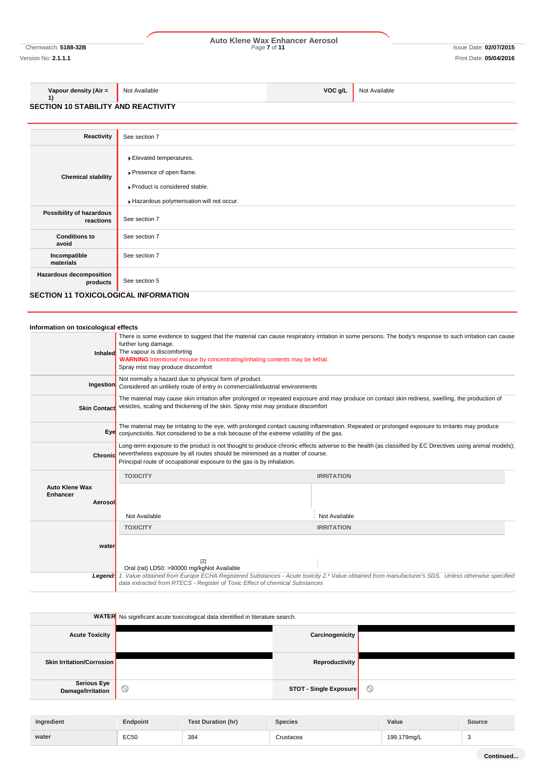# Chemwatch: **5188-32B** Page **7** of **11** Issue Date: **02/07/2015 Auto Klene Wax Enhancer Aerosol**

Version No: **2.1.1.1** Print Date: **05/04/2016**

Not Available **VOC g/L** Not Available

**1) SECTION 10 STABILITY AND REACTIVITY**

**Vapour density (Air =** 

| Reactivity                                  | See section 7                                                                                                                      |
|---------------------------------------------|------------------------------------------------------------------------------------------------------------------------------------|
| <b>Chemical stability</b>                   | Elevated temperatures.<br>▶ Presence of open flame.<br>▶ Product is considered stable.<br>Hazardous polymerisation will not occur. |
| Possibility of hazardous<br>reactions       | See section 7                                                                                                                      |
| <b>Conditions to</b><br>avoid               | See section 7                                                                                                                      |
| Incompatible<br>materials                   | See section 7                                                                                                                      |
| Hazardous decomposition<br>products         | See section 5                                                                                                                      |
| <b>SECTION 11 TOXICOLOGICAL INFORMATION</b> |                                                                                                                                    |

## **SECTION 11 TOXICOLOGICAL INFORMATION**

| Information on toxicological effects                |                                                                                                                                                                          |                                                                                                                                                          |
|-----------------------------------------------------|--------------------------------------------------------------------------------------------------------------------------------------------------------------------------|----------------------------------------------------------------------------------------------------------------------------------------------------------|
| Inhaled                                             | further lung damage.<br>The vapour is discomforting<br>WARNING:Intentional misuse by concentrating/inhaling contents may be lethal.<br>Spray mist may produce discomfort | There is some evidence to suggest that the material can cause respiratory irritation in some persons. The body's response to such irritation can cause   |
| Ingestion                                           | Not normally a hazard due to physical form of product.<br>Considered an unlikely route of entry in commercial/industrial environments                                    |                                                                                                                                                          |
| <b>Skin Contact</b>                                 | vesicles, scaling and thickening of the skin. Spray mist may produce discomfort                                                                                          | The material may cause skin irritation after prolonged or repeated exposure and may produce on contact skin redness, swelling, the production of         |
|                                                     | Eye conjunctivitis. Not considered to be a risk because of the extreme volatility of the gas.                                                                            | The material may be irritating to the eye, with prolonged contact causing inflammation. Repeated or prolonged exposure to irritants may produce          |
|                                                     | Chronic nevertheless exposure by all routes should be minimised as a matter of course.<br>Principal route of occupational exposure to the gas is by inhalation.          | Long-term exposure to the product is not thought to produce chronic effects adverse to the health (as classified by EC Directives using animal models);  |
|                                                     | <b>TOXICITY</b>                                                                                                                                                          | <b>IRRITATION</b>                                                                                                                                        |
| <b>Auto Klene Wax</b><br><b>Enhancer</b><br>Aerosol |                                                                                                                                                                          |                                                                                                                                                          |
|                                                     | Not Available                                                                                                                                                            | Not Available                                                                                                                                            |
|                                                     | <b>TOXICITY</b>                                                                                                                                                          | <b>IRRITATION</b>                                                                                                                                        |
| water                                               |                                                                                                                                                                          |                                                                                                                                                          |
|                                                     | [2]<br>Oral (rat) LD50: >90000 mg/kgNot Available                                                                                                                        |                                                                                                                                                          |
|                                                     | data extracted from RTECS - Register of Toxic Effect of chemical Substances                                                                                              | Legend: 1. Value obtained from Europe ECHA Registered Substances - Acute toxicity 2.* Value obtained from manufacturer's SDS. Unless otherwise specified |

|                                  | WATER No significant acute toxicological data identified in literature search. |                               |   |
|----------------------------------|--------------------------------------------------------------------------------|-------------------------------|---|
| <b>Acute Toxicity</b>            |                                                                                | Carcinogenicity               |   |
| <b>Skin Irritation/Corrosion</b> |                                                                                | Reproductivity                |   |
| Serious Eye<br>Damage/Irritation | $\circlearrowright$                                                            | <b>STOT - Single Exposure</b> | ◎ |

| Ingredient | Endpoint  | <b>Test Duration (hr)</b> | <b>Species</b> | Value       | Source                |
|------------|-----------|---------------------------|----------------|-------------|-----------------------|
| water      | EC50<br>. | 384<br>$ -$               | Crustacea      | 199.179mg/L | $\sqrt{2}$<br>$\cdot$ |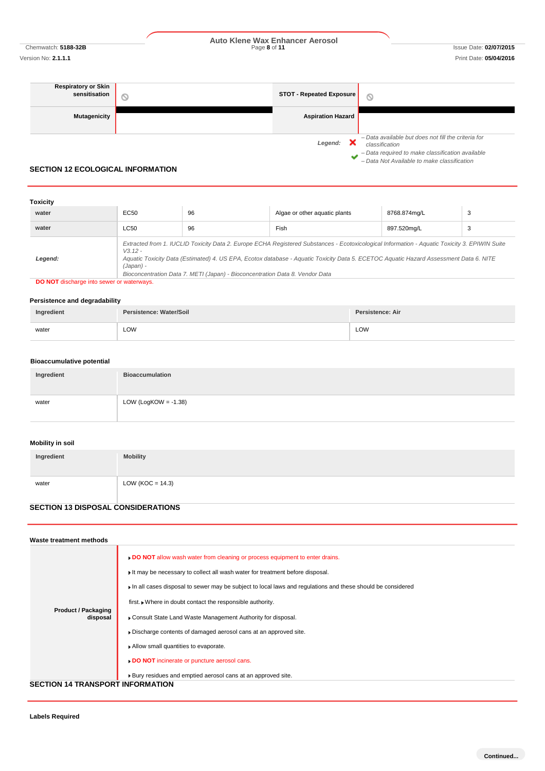Chemwatch: **5188-32B** Page **8** of **11** Issue Date: **02/07/2015 Auto Klene Wax Enhancer Aerosol**

*– Data Not Available to make classification*

| <b>Respiratory or Skin</b><br>sensitisation | J. | STOT - Repeated Exposure | 0                                                                                                                         |
|---------------------------------------------|----|--------------------------|---------------------------------------------------------------------------------------------------------------------------|
| <b>Mutagenicity</b>                         |    | <b>Aspiration Hazard</b> |                                                                                                                           |
|                                             |    | Legend:                  | - Data available but does not fill the criteria for<br>classification<br>- Data required to make classification available |

## **SECTION 12 ECOLOGICAL INFORMATION**

| <b>Toxicity</b> |                        |                                                                              |                                                                                                                                                                                                                                                                                        |              |   |
|-----------------|------------------------|------------------------------------------------------------------------------|----------------------------------------------------------------------------------------------------------------------------------------------------------------------------------------------------------------------------------------------------------------------------------------|--------------|---|
| water           | EC <sub>50</sub>       | 96                                                                           | Algae or other aquatic plants                                                                                                                                                                                                                                                          | 8768.874mg/L | 3 |
| water           | LC50                   | 96                                                                           | Fish                                                                                                                                                                                                                                                                                   | 897.520mg/L  | 3 |
| Legend:         | $V3.12 -$<br>(Japan) - | Bioconcentration Data 7. METI (Japan) - Bioconcentration Data 8. Vendor Data | Extracted from 1. IUCLID Toxicity Data 2. Europe ECHA Registered Substances - Ecotoxicological Information - Aquatic Toxicity 3. EPIWIN Suite<br>Aquatic Toxicity Data (Estimated) 4. US EPA, Ecotox database - Aquatic Toxicity Data 5. ECETOC Aquatic Hazard Assessment Data 6. NITE |              |   |

**DO NOT** discharge into sewer or waterways.

## **Persistence and degradability**

| Ingredient | Persistence: Water/Soil | Persistence: Air |
|------------|-------------------------|------------------|
| water      | LOW<br>___              | LOW              |

## **Bioaccumulative potential**

| Ingredient | <b>Bioaccumulation</b>  |
|------------|-------------------------|
| water      | LOW (LogKOW = $-1.38$ ) |

## **Mobility in soil**

| Ingredient | <b>Mobility</b>      |
|------------|----------------------|
|            |                      |
| water      | LOW ( $KOC = 14.3$ ) |
|            |                      |

## **SECTION 13 DISPOSAL CONSIDERATIONS**

| Waste treatment methods                 |                                                                                                                                                                                                                                                                             |
|-----------------------------------------|-----------------------------------------------------------------------------------------------------------------------------------------------------------------------------------------------------------------------------------------------------------------------------|
|                                         | . DO NOT allow wash water from cleaning or process equipment to enter drains.<br>If may be necessary to collect all wash water for treatment before disposal.<br>In all cases disposal to sewer may be subject to local laws and regulations and these should be considered |
| <b>Product / Packaging</b>              | first. • Where in doubt contact the responsible authority.                                                                                                                                                                                                                  |
| disposal                                | Consult State Land Waste Management Authority for disposal.                                                                                                                                                                                                                 |
|                                         | Discharge contents of damaged aerosol cans at an approved site.                                                                                                                                                                                                             |
|                                         | Allow small quantities to evaporate.                                                                                                                                                                                                                                        |
|                                         | DO NOT incinerate or puncture aerosol cans.                                                                                                                                                                                                                                 |
|                                         | Bury residues and emptied aerosol cans at an approved site.                                                                                                                                                                                                                 |
| <b>SECTION 14 TRANSPORT INFORMATION</b> |                                                                                                                                                                                                                                                                             |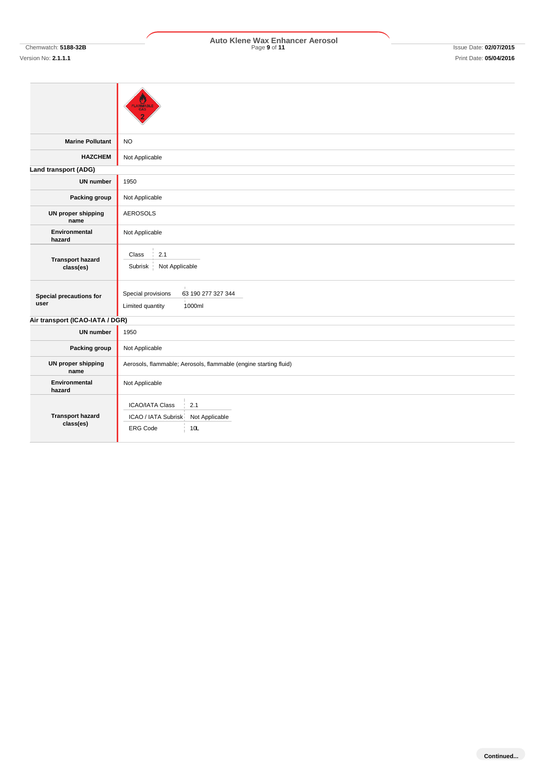# **Marine Pollutant** NO **HAZCHEM** Not Applicable **Land transport (ADG) UN number** 1950 **Packing group** Not Applicable **UN proper shipping name** AEROSOLS **Environmental hazard** Not Applicable **Transport hazard class(es) Special precautions for user** Special provisions 63 190 277 327 344 Limited quantity 1000ml **Air transport (ICAO-IATA / DGR) UN number** 1950 **Packing group** Not Applicable **UN proper shipping name** Aerosols, flammable; Aerosols, flammable (engine starting fluid) **Environmental hazard** Not Applicable **Transport hazard class(es)**  $Class \begin{array}{c} |2.1 \end{array}$ Subrisk Not Applicable ICAO/IATA Class 2.1 ICAO / IATA Subrisk Not Applicable ERG Code 10L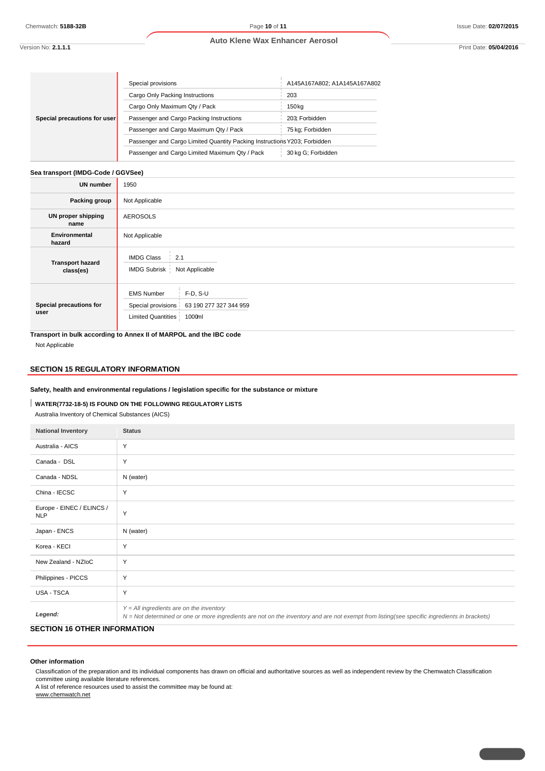and the control of the control of

## **Auto Klene Wax Enhancer Aerosol**

Version No: **2.1.1.1** Print Date: **05/04/2016**

| Special precautions for user | Special provisions                                                        | A145A167A802; A1A145A167A802 |
|------------------------------|---------------------------------------------------------------------------|------------------------------|
|                              | Cargo Only Packing Instructions                                           | 203                          |
|                              | Cargo Only Maximum Qty / Pack                                             | 150 <sub>kg</sub>            |
|                              | Passenger and Cargo Packing Instructions                                  | 203; Forbidden               |
|                              | Passenger and Cargo Maximum Qty / Pack                                    | 75 kg; Forbidden             |
|                              | Passenger and Cargo Limited Quantity Packing Instructions Y203; Forbidden |                              |
|                              | Passenger and Cargo Limited Maximum Qty / Pack                            | 30 kg G; Forbidden           |

## **Sea transport (IMDG-Code / GGVSee)**

| <b>UN number</b>                     | 1950                                                                                                                |
|--------------------------------------|---------------------------------------------------------------------------------------------------------------------|
| Packing group                        | Not Applicable                                                                                                      |
| UN proper shipping<br>name           | <b>AEROSOLS</b>                                                                                                     |
| Environmental<br>hazard              | Not Applicable                                                                                                      |
| <b>Transport hazard</b><br>class(es) | <b>IMDG Class</b><br>2.1<br>Not Applicable<br>IMDG Subrisk                                                          |
| Special precautions for<br>user      | $F-D, S-U$<br><b>EMS Number</b><br>Special provisions 63 190 277 327 344 959<br><b>Limited Quantities</b><br>1000ml |

**Transport in bulk according to Annex II of MARPOL and the IBC code** Not Applicable

## **SECTION 15 REGULATORY INFORMATION**

**Safety, health and environmental regulations / legislation specific for the substance or mixture**

## **WATER(7732-18-5) IS FOUND ON THE FOLLOWING REGULATORY LISTS**

Australia Inventory of Chemical Substances (AICS)

| <b>National Inventory</b>               | <b>Status</b>                                                                                                                                                                              |
|-----------------------------------------|--------------------------------------------------------------------------------------------------------------------------------------------------------------------------------------------|
| Australia - AICS                        | Y                                                                                                                                                                                          |
| Canada - DSL                            | Y                                                                                                                                                                                          |
| Canada - NDSL                           | N (water)                                                                                                                                                                                  |
| China - IECSC                           | Y                                                                                                                                                                                          |
| Europe - EINEC / ELINCS /<br><b>NLP</b> | Y                                                                                                                                                                                          |
| Japan - ENCS                            | N (water)                                                                                                                                                                                  |
| Korea - KECI                            | Y                                                                                                                                                                                          |
| New Zealand - NZIoC                     | Y                                                                                                                                                                                          |
| Philippines - PICCS                     | Y                                                                                                                                                                                          |
| USA - TSCA                              | Y                                                                                                                                                                                          |
| Legend:                                 | $Y = All$ ingredients are on the inventory<br>N = Not determined or one or more ingredients are not on the inventory and are not exempt from listing(see specific ingredients in brackets) |

## **SECTION 16 OTHER INFORMATION**

### **Other information**

Classification of the preparation and its individual components has drawn on official and authoritative sources as well as independent review by the Chemwatch Classification committee using available literature references.

A list of reference resources used to assist the committee may be found at:

www.chemwatch.net